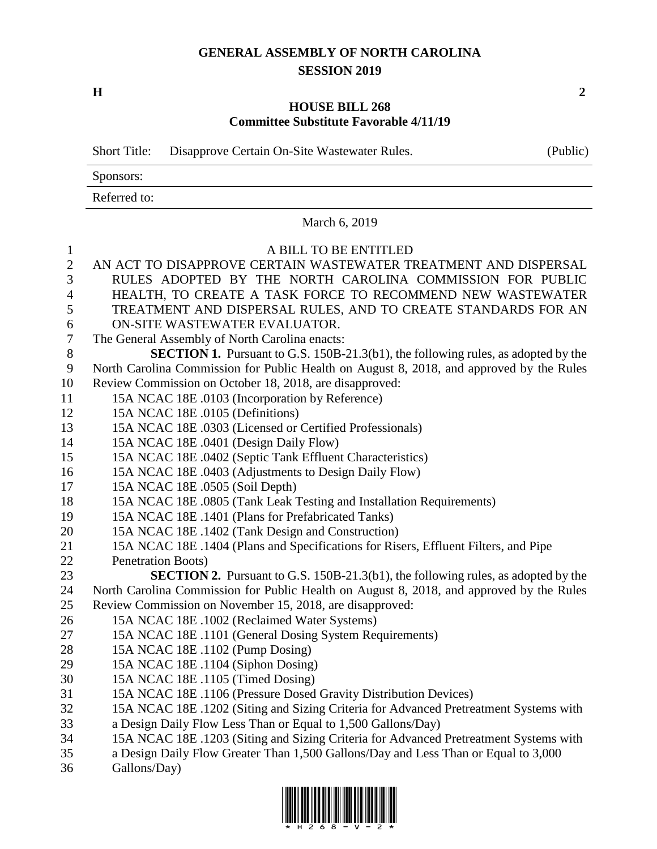## **GENERAL ASSEMBLY OF NORTH CAROLINA SESSION 2019**

**H 2**

### **HOUSE BILL 268 Committee Substitute Favorable 4/11/19**

|                | (Public)<br><b>Short Title:</b><br>Disapprove Certain On-Site Wastewater Rules.          |
|----------------|------------------------------------------------------------------------------------------|
|                | Sponsors:                                                                                |
|                | Referred to:                                                                             |
|                | March 6, 2019                                                                            |
| $\mathbf{1}$   | A BILL TO BE ENTITLED                                                                    |
| $\mathbf{2}$   | AN ACT TO DISAPPROVE CERTAIN WASTEWATER TREATMENT AND DISPERSAL                          |
| 3              | RULES ADOPTED BY THE NORTH CAROLINA COMMISSION FOR PUBLIC                                |
| 4              | HEALTH, TO CREATE A TASK FORCE TO RECOMMEND NEW WASTEWATER                               |
| 5              | TREATMENT AND DISPERSAL RULES, AND TO CREATE STANDARDS FOR AN                            |
| 6              | ON-SITE WASTEWATER EVALUATOR.                                                            |
| $\overline{7}$ | The General Assembly of North Carolina enacts:                                           |
| $8\,$          | <b>SECTION 1.</b> Pursuant to G.S. 150B-21.3(b1), the following rules, as adopted by the |
| 9              | North Carolina Commission for Public Health on August 8, 2018, and approved by the Rules |
| 10             | Review Commission on October 18, 2018, are disapproved:                                  |
| 11             | 15A NCAC 18E .0103 (Incorporation by Reference)                                          |
| 12             | 15A NCAC 18E .0105 (Definitions)                                                         |
| 13             | 15A NCAC 18E .0303 (Licensed or Certified Professionals)                                 |
| 14             | 15A NCAC 18E .0401 (Design Daily Flow)                                                   |
| 15             | 15A NCAC 18E .0402 (Septic Tank Effluent Characteristics)                                |
| 16             | 15A NCAC 18E .0403 (Adjustments to Design Daily Flow)                                    |
| 17             | 15A NCAC 18E .0505 (Soil Depth)                                                          |
| 18             | 15A NCAC 18E .0805 (Tank Leak Testing and Installation Requirements)                     |
| 19             | 15A NCAC 18E .1401 (Plans for Prefabricated Tanks)                                       |
| 20             | 15A NCAC 18E .1402 (Tank Design and Construction)                                        |
| 21             | 15A NCAC 18E .1404 (Plans and Specifications for Risers, Effluent Filters, and Pipe      |
| 22             | Penetration Boots)                                                                       |
| 23             | <b>SECTION 2.</b> Pursuant to G.S. 150B-21.3(b1), the following rules, as adopted by the |
| 24             | North Carolina Commission for Public Health on August 8, 2018, and approved by the Rules |
| 25             | Review Commission on November 15, 2018, are disapproved:                                 |
| 26             | 15A NCAC 18E .1002 (Reclaimed Water Systems)                                             |
| 27             | 15A NCAC 18E .1101 (General Dosing System Requirements)                                  |
| 28             | 15A NCAC 18E .1102 (Pump Dosing)                                                         |
| 29             | 15A NCAC 18E .1104 (Siphon Dosing)                                                       |
| 30             | 15A NCAC 18E .1105 (Timed Dosing)                                                        |
| 31             | 15A NCAC 18E .1106 (Pressure Dosed Gravity Distribution Devices)                         |
| 32             | 15A NCAC 18E .1202 (Siting and Sizing Criteria for Advanced Pretreatment Systems with    |
| 33             | a Design Daily Flow Less Than or Equal to 1,500 Gallons/Day)                             |
| 34             | 15A NCAC 18E .1203 (Siting and Sizing Criteria for Advanced Pretreatment Systems with    |

- a Design Daily Flow Greater Than 1,500 Gallons/Day and Less Than or Equal to 3,000
- Gallons/Day)

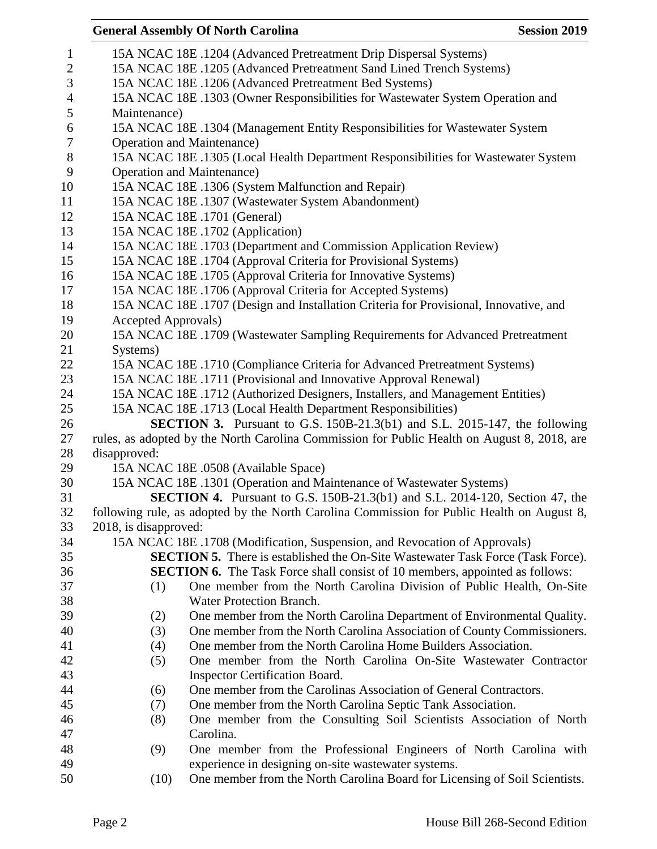# **General Assembly Of North Carolina Session 2019**

| $\mathbf{1}$     |                                                                                    | 15A NCAC 18E .1204 (Advanced Pretreatment Drip Dispersal Systems)                           |  |  |  |
|------------------|------------------------------------------------------------------------------------|---------------------------------------------------------------------------------------------|--|--|--|
| $\overline{c}$   | 15A NCAC 18E .1205 (Advanced Pretreatment Sand Lined Trench Systems)               |                                                                                             |  |  |  |
| 3                | 15A NCAC 18E .1206 (Advanced Pretreatment Bed Systems)                             |                                                                                             |  |  |  |
| $\overline{4}$   | 15A NCAC 18E .1303 (Owner Responsibilities for Wastewater System Operation and     |                                                                                             |  |  |  |
| 5                | Maintenance)                                                                       |                                                                                             |  |  |  |
| $\boldsymbol{6}$ | 15A NCAC 18E .1304 (Management Entity Responsibilities for Wastewater System       |                                                                                             |  |  |  |
| $\boldsymbol{7}$ | <b>Operation and Maintenance</b> )                                                 |                                                                                             |  |  |  |
| $\,8\,$          | 15A NCAC 18E .1305 (Local Health Department Responsibilities for Wastewater System |                                                                                             |  |  |  |
| 9                |                                                                                    | <b>Operation and Maintenance</b> )                                                          |  |  |  |
| 10               |                                                                                    | 15A NCAC 18E .1306 (System Malfunction and Repair)                                          |  |  |  |
| 11               |                                                                                    | 15A NCAC 18E .1307 (Wastewater System Abandonment)                                          |  |  |  |
| 12               |                                                                                    | 15A NCAC 18E .1701 (General)                                                                |  |  |  |
| 13               |                                                                                    | 15A NCAC 18E .1702 (Application)                                                            |  |  |  |
| 14               |                                                                                    | 15A NCAC 18E .1703 (Department and Commission Application Review)                           |  |  |  |
| 15               |                                                                                    | 15A NCAC 18E .1704 (Approval Criteria for Provisional Systems)                              |  |  |  |
| 16               |                                                                                    | 15A NCAC 18E .1705 (Approval Criteria for Innovative Systems)                               |  |  |  |
| 17               |                                                                                    | 15A NCAC 18E .1706 (Approval Criteria for Accepted Systems)                                 |  |  |  |
| 18               |                                                                                    | 15A NCAC 18E .1707 (Design and Installation Criteria for Provisional, Innovative, and       |  |  |  |
| 19               | <b>Accepted Approvals</b> )                                                        |                                                                                             |  |  |  |
| 20               |                                                                                    | 15A NCAC 18E .1709 (Wastewater Sampling Requirements for Advanced Pretreatment              |  |  |  |
| 21               | Systems)                                                                           |                                                                                             |  |  |  |
| 22               |                                                                                    | 15A NCAC 18E .1710 (Compliance Criteria for Advanced Pretreatment Systems)                  |  |  |  |
| 23               |                                                                                    | 15A NCAC 18E .1711 (Provisional and Innovative Approval Renewal)                            |  |  |  |
| 24               |                                                                                    | 15A NCAC 18E .1712 (Authorized Designers, Installers, and Management Entities)              |  |  |  |
| 25               |                                                                                    | 15A NCAC 18E .1713 (Local Health Department Responsibilities)                               |  |  |  |
| 26               | <b>SECTION 3.</b> Pursuant to G.S. 150B-21.3(b1) and S.L. 2015-147, the following  |                                                                                             |  |  |  |
| 27               |                                                                                    | rules, as adopted by the North Carolina Commission for Public Health on August 8, 2018, are |  |  |  |
| 28               | disapproved:                                                                       |                                                                                             |  |  |  |
| 29               |                                                                                    | 15A NCAC 18E .0508 (Available Space)                                                        |  |  |  |
| 30               |                                                                                    | 15A NCAC 18E .1301 (Operation and Maintenance of Wastewater Systems)                        |  |  |  |
| 31               |                                                                                    | <b>SECTION 4.</b> Pursuant to G.S. 150B-21.3(b1) and S.L. 2014-120, Section 47, the         |  |  |  |
| 32               |                                                                                    | following rule, as adopted by the North Carolina Commission for Public Health on August 8,  |  |  |  |
| 33               | 2018, is disapproved:                                                              |                                                                                             |  |  |  |
| 34               |                                                                                    | 15A NCAC 18E .1708 (Modification, Suspension, and Revocation of Approvals)                  |  |  |  |
| 35               |                                                                                    | <b>SECTION 5.</b> There is established the On-Site Wastewater Task Force (Task Force).      |  |  |  |
| 36               |                                                                                    | <b>SECTION 6.</b> The Task Force shall consist of 10 members, appointed as follows:         |  |  |  |
| 37               | (1)                                                                                | One member from the North Carolina Division of Public Health, On-Site                       |  |  |  |
| 38               |                                                                                    | Water Protection Branch.                                                                    |  |  |  |
| 39               | (2)                                                                                | One member from the North Carolina Department of Environmental Quality.                     |  |  |  |
| 40               | (3)                                                                                | One member from the North Carolina Association of County Commissioners.                     |  |  |  |
| 41               | (4)                                                                                | One member from the North Carolina Home Builders Association.                               |  |  |  |
| 42               | (5)                                                                                | One member from the North Carolina On-Site Wastewater Contractor                            |  |  |  |
| 43               |                                                                                    | <b>Inspector Certification Board.</b>                                                       |  |  |  |
| 44               | (6)                                                                                | One member from the Carolinas Association of General Contractors.                           |  |  |  |
| 45               | (7)                                                                                | One member from the North Carolina Septic Tank Association.                                 |  |  |  |
| 46               | (8)                                                                                | One member from the Consulting Soil Scientists Association of North                         |  |  |  |
| 47               |                                                                                    | Carolina.                                                                                   |  |  |  |
| 48               | (9)                                                                                | One member from the Professional Engineers of North Carolina with                           |  |  |  |
| 49               |                                                                                    | experience in designing on-site wastewater systems.                                         |  |  |  |
| 50               | (10)                                                                               | One member from the North Carolina Board for Licensing of Soil Scientists.                  |  |  |  |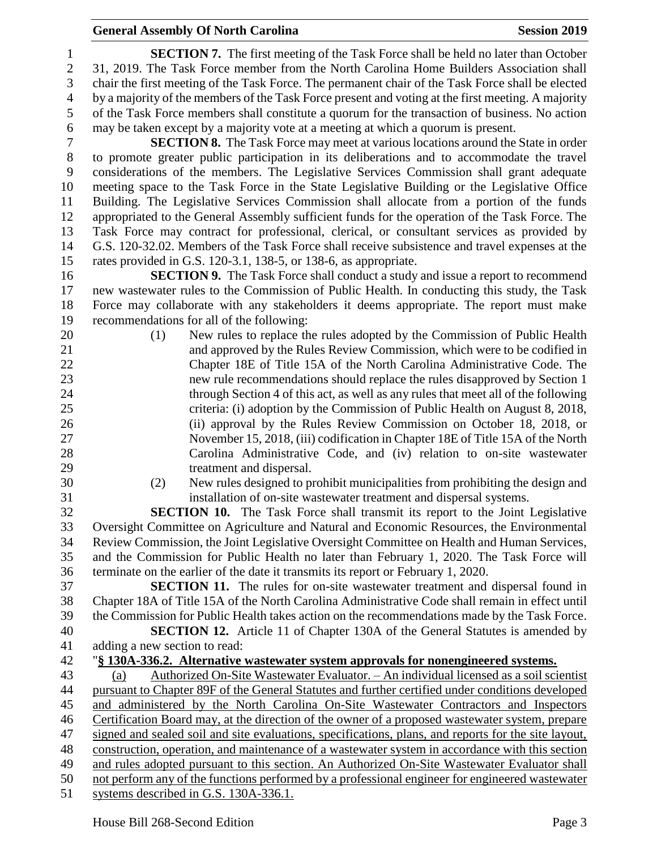### **General Assembly Of North Carolina Session 2019 Session 2019**

 **SECTION 7.** The first meeting of the Task Force shall be held no later than October 31, 2019. The Task Force member from the North Carolina Home Builders Association shall chair the first meeting of the Task Force. The permanent chair of the Task Force shall be elected by a majority of the members of the Task Force present and voting at the first meeting. A majority of the Task Force members shall constitute a quorum for the transaction of business. No action may be taken except by a majority vote at a meeting at which a quorum is present.

 **SECTION 8.** The Task Force may meet at various locations around the State in order to promote greater public participation in its deliberations and to accommodate the travel considerations of the members. The Legislative Services Commission shall grant adequate meeting space to the Task Force in the State Legislative Building or the Legislative Office Building. The Legislative Services Commission shall allocate from a portion of the funds appropriated to the General Assembly sufficient funds for the operation of the Task Force. The Task Force may contract for professional, clerical, or consultant services as provided by G.S. 120-32.02. Members of the Task Force shall receive subsistence and travel expenses at the rates provided in G.S. 120-3.1, 138-5, or 138-6, as appropriate.

 **SECTION 9.** The Task Force shall conduct a study and issue a report to recommend new wastewater rules to the Commission of Public Health. In conducting this study, the Task Force may collaborate with any stakeholders it deems appropriate. The report must make recommendations for all of the following:

- (1) New rules to replace the rules adopted by the Commission of Public Health and approved by the Rules Review Commission, which were to be codified in Chapter 18E of Title 15A of the North Carolina Administrative Code. The new rule recommendations should replace the rules disapproved by Section 1 through Section 4 of this act, as well as any rules that meet all of the following criteria: (i) adoption by the Commission of Public Health on August 8, 2018, (ii) approval by the Rules Review Commission on October 18, 2018, or November 15, 2018, (iii) codification in Chapter 18E of Title 15A of the North Carolina Administrative Code, and (iv) relation to on-site wastewater treatment and dispersal.
- 

 (2) New rules designed to prohibit municipalities from prohibiting the design and installation of on-site wastewater treatment and dispersal systems.

 **SECTION 10.** The Task Force shall transmit its report to the Joint Legislative Oversight Committee on Agriculture and Natural and Economic Resources, the Environmental Review Commission, the Joint Legislative Oversight Committee on Health and Human Services, and the Commission for Public Health no later than February 1, 2020. The Task Force will terminate on the earlier of the date it transmits its report or February 1, 2020.

 **SECTION 11.** The rules for on-site wastewater treatment and dispersal found in Chapter 18A of Title 15A of the North Carolina Administrative Code shall remain in effect until the Commission for Public Health takes action on the recommendations made by the Task Force.

 **SECTION 12.** Article 11 of Chapter 130A of the General Statutes is amended by adding a new section to read:

 "**§ 130A-336.2. Alternative wastewater system approvals for nonengineered systems.** (a) Authorized On-Site Wastewater Evaluator. – An individual licensed as a soil scientist pursuant to Chapter 89F of the General Statutes and further certified under conditions developed and administered by the North Carolina On-Site Wastewater Contractors and Inspectors Certification Board may, at the direction of the owner of a proposed wastewater system, prepare signed and sealed soil and site evaluations, specifications, plans, and reports for the site layout, construction, operation, and maintenance of a wastewater system in accordance with this section and rules adopted pursuant to this section. An Authorized On-Site Wastewater Evaluator shall not perform any of the functions performed by a professional engineer for engineered wastewater systems described in G.S. 130A-336.1.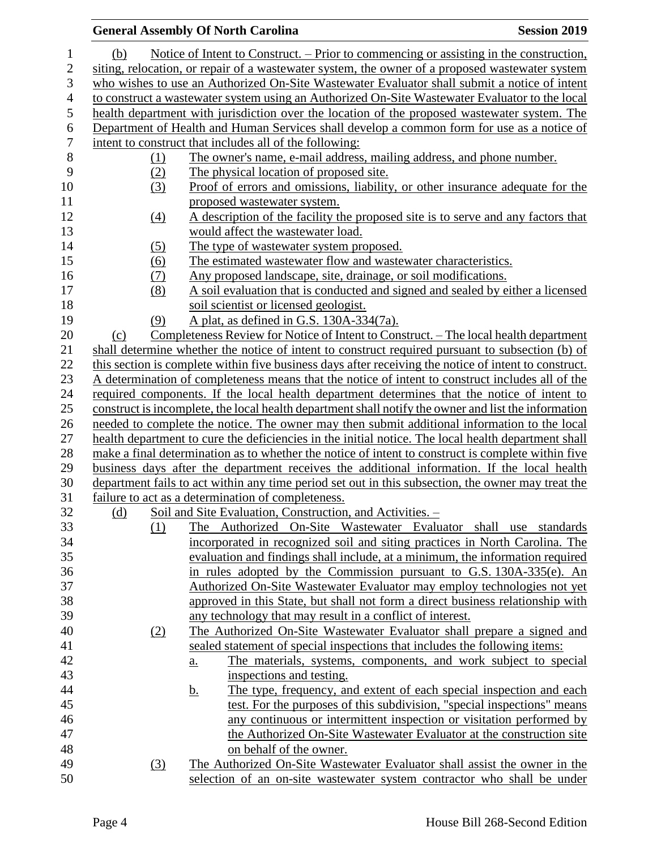### **General Assembly Of North Carolina Session 2019 Session 2019**  (b) Notice of Intent to Construct. – Prior to commencing or assisting in the construction, siting, relocation, or repair of a wastewater system, the owner of a proposed wastewater system who wishes to use an Authorized On-Site Wastewater Evaluator shall submit a notice of intent to construct a wastewater system using an Authorized On-Site Wastewater Evaluator to the local health department with jurisdiction over the location of the proposed wastewater system. The Department of Health and Human Services shall develop a common form for use as a notice of intent to construct that includes all of the following: (1) The owner's name, e-mail address, mailing address, and phone number. (2) The physical location of proposed site. (3) Proof of errors and omissions, liability, or other insurance adequate for the 11 proposed wastewater system. (4) A description of the facility the proposed site is to serve and any factors that would affect the wastewater load. 14 (5) The type of wastewater system proposed. (6) The estimated wastewater flow and wastewater characteristics. (7) Any proposed landscape, site, drainage, or soil modifications. (8) A soil evaluation that is conducted and signed and sealed by either a licensed soil scientist or licensed geologist. (9) A plat, as defined in G.S. 130A-334(7a). 20 (c) Completeness Review for Notice of Intent to Construct. – The local health department shall determine whether the notice of intent to construct required pursuant to subsection (b) of this section is complete within five business days after receiving the notice of intent to construct. 23 A determination of completeness means that the notice of intent to construct includes all of the required components. If the local health department determines that the notice of intent to construct is incomplete, the local health department shall notify the owner and list the information needed to complete the notice. The owner may then submit additional information to the local health department to cure the deficiencies in the initial notice. The local health department shall make a final determination as to whether the notice of intent to construct is complete within five business days after the department receives the additional information. If the local health department fails to act within any time period set out in this subsection, the owner may treat the failure to act as a determination of completeness. (d) Soil and Site Evaluation, Construction, and Activities. – (1) The Authorized On-Site Wastewater Evaluator shall use standards incorporated in recognized soil and siting practices in North Carolina. The evaluation and findings shall include, at a minimum, the information required in rules adopted by the Commission pursuant to G.S. 130A-335(e). An Authorized On-Site Wastewater Evaluator may employ technologies not yet approved in this State, but shall not form a direct business relationship with any technology that may result in a conflict of interest. (2) The Authorized On-Site Wastewater Evaluator shall prepare a signed and sealed statement of special inspections that includes the following items: a. The materials, systems, components, and work subject to special inspections and testing. b. The type, frequency, and extent of each special inspection and each test. For the purposes of this subdivision, "special inspections" means any continuous or intermittent inspection or visitation performed by the Authorized On-Site Wastewater Evaluator at the construction site on behalf of the owner. (3) The Authorized On-Site Wastewater Evaluator shall assist the owner in the selection of an on-site wastewater system contractor who shall be under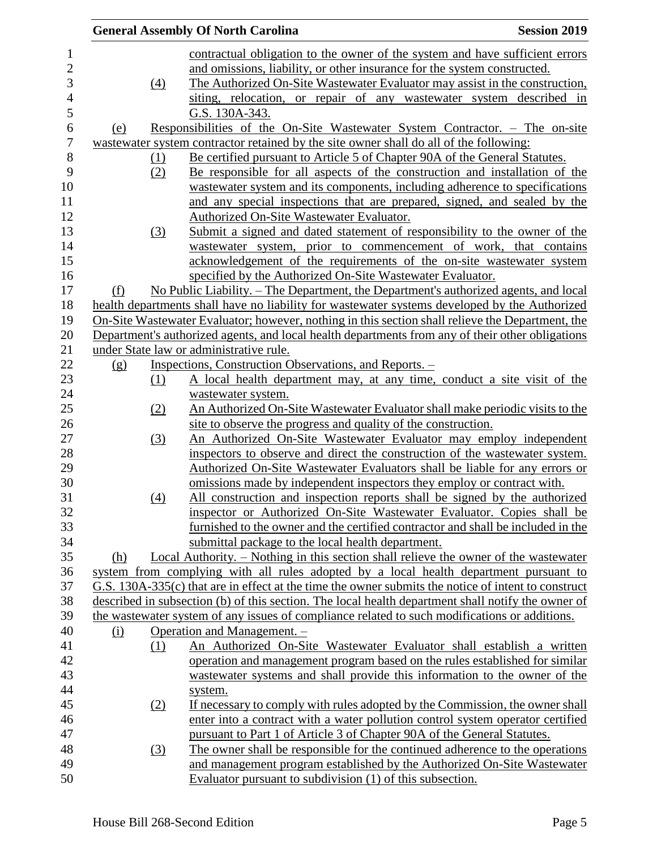|     | <b>General Assembly Of North Carolina</b>                                                                                                               | <b>Session 2019</b>                                                                                                                                                                                                                                                                                                                                                                                                                                                                                                                                                                                                                                                                                                                                                                                                                                                                                                                                                                                                                                                                                                                                                                                                                                                                                                                                                                                                                                                                                                                                                                                                                                                                                                                                                                                                                                                                                                                                                                                  |
|-----|---------------------------------------------------------------------------------------------------------------------------------------------------------|------------------------------------------------------------------------------------------------------------------------------------------------------------------------------------------------------------------------------------------------------------------------------------------------------------------------------------------------------------------------------------------------------------------------------------------------------------------------------------------------------------------------------------------------------------------------------------------------------------------------------------------------------------------------------------------------------------------------------------------------------------------------------------------------------------------------------------------------------------------------------------------------------------------------------------------------------------------------------------------------------------------------------------------------------------------------------------------------------------------------------------------------------------------------------------------------------------------------------------------------------------------------------------------------------------------------------------------------------------------------------------------------------------------------------------------------------------------------------------------------------------------------------------------------------------------------------------------------------------------------------------------------------------------------------------------------------------------------------------------------------------------------------------------------------------------------------------------------------------------------------------------------------------------------------------------------------------------------------------------------------|
|     | contractual obligation to the owner of the system and have sufficient errors                                                                            |                                                                                                                                                                                                                                                                                                                                                                                                                                                                                                                                                                                                                                                                                                                                                                                                                                                                                                                                                                                                                                                                                                                                                                                                                                                                                                                                                                                                                                                                                                                                                                                                                                                                                                                                                                                                                                                                                                                                                                                                      |
|     |                                                                                                                                                         |                                                                                                                                                                                                                                                                                                                                                                                                                                                                                                                                                                                                                                                                                                                                                                                                                                                                                                                                                                                                                                                                                                                                                                                                                                                                                                                                                                                                                                                                                                                                                                                                                                                                                                                                                                                                                                                                                                                                                                                                      |
|     |                                                                                                                                                         |                                                                                                                                                                                                                                                                                                                                                                                                                                                                                                                                                                                                                                                                                                                                                                                                                                                                                                                                                                                                                                                                                                                                                                                                                                                                                                                                                                                                                                                                                                                                                                                                                                                                                                                                                                                                                                                                                                                                                                                                      |
|     |                                                                                                                                                         |                                                                                                                                                                                                                                                                                                                                                                                                                                                                                                                                                                                                                                                                                                                                                                                                                                                                                                                                                                                                                                                                                                                                                                                                                                                                                                                                                                                                                                                                                                                                                                                                                                                                                                                                                                                                                                                                                                                                                                                                      |
|     |                                                                                                                                                         |                                                                                                                                                                                                                                                                                                                                                                                                                                                                                                                                                                                                                                                                                                                                                                                                                                                                                                                                                                                                                                                                                                                                                                                                                                                                                                                                                                                                                                                                                                                                                                                                                                                                                                                                                                                                                                                                                                                                                                                                      |
|     |                                                                                                                                                         |                                                                                                                                                                                                                                                                                                                                                                                                                                                                                                                                                                                                                                                                                                                                                                                                                                                                                                                                                                                                                                                                                                                                                                                                                                                                                                                                                                                                                                                                                                                                                                                                                                                                                                                                                                                                                                                                                                                                                                                                      |
|     |                                                                                                                                                         |                                                                                                                                                                                                                                                                                                                                                                                                                                                                                                                                                                                                                                                                                                                                                                                                                                                                                                                                                                                                                                                                                                                                                                                                                                                                                                                                                                                                                                                                                                                                                                                                                                                                                                                                                                                                                                                                                                                                                                                                      |
|     |                                                                                                                                                         |                                                                                                                                                                                                                                                                                                                                                                                                                                                                                                                                                                                                                                                                                                                                                                                                                                                                                                                                                                                                                                                                                                                                                                                                                                                                                                                                                                                                                                                                                                                                                                                                                                                                                                                                                                                                                                                                                                                                                                                                      |
|     |                                                                                                                                                         |                                                                                                                                                                                                                                                                                                                                                                                                                                                                                                                                                                                                                                                                                                                                                                                                                                                                                                                                                                                                                                                                                                                                                                                                                                                                                                                                                                                                                                                                                                                                                                                                                                                                                                                                                                                                                                                                                                                                                                                                      |
|     |                                                                                                                                                         |                                                                                                                                                                                                                                                                                                                                                                                                                                                                                                                                                                                                                                                                                                                                                                                                                                                                                                                                                                                                                                                                                                                                                                                                                                                                                                                                                                                                                                                                                                                                                                                                                                                                                                                                                                                                                                                                                                                                                                                                      |
|     |                                                                                                                                                         |                                                                                                                                                                                                                                                                                                                                                                                                                                                                                                                                                                                                                                                                                                                                                                                                                                                                                                                                                                                                                                                                                                                                                                                                                                                                                                                                                                                                                                                                                                                                                                                                                                                                                                                                                                                                                                                                                                                                                                                                      |
|     |                                                                                                                                                         |                                                                                                                                                                                                                                                                                                                                                                                                                                                                                                                                                                                                                                                                                                                                                                                                                                                                                                                                                                                                                                                                                                                                                                                                                                                                                                                                                                                                                                                                                                                                                                                                                                                                                                                                                                                                                                                                                                                                                                                                      |
|     |                                                                                                                                                         |                                                                                                                                                                                                                                                                                                                                                                                                                                                                                                                                                                                                                                                                                                                                                                                                                                                                                                                                                                                                                                                                                                                                                                                                                                                                                                                                                                                                                                                                                                                                                                                                                                                                                                                                                                                                                                                                                                                                                                                                      |
|     |                                                                                                                                                         |                                                                                                                                                                                                                                                                                                                                                                                                                                                                                                                                                                                                                                                                                                                                                                                                                                                                                                                                                                                                                                                                                                                                                                                                                                                                                                                                                                                                                                                                                                                                                                                                                                                                                                                                                                                                                                                                                                                                                                                                      |
|     |                                                                                                                                                         |                                                                                                                                                                                                                                                                                                                                                                                                                                                                                                                                                                                                                                                                                                                                                                                                                                                                                                                                                                                                                                                                                                                                                                                                                                                                                                                                                                                                                                                                                                                                                                                                                                                                                                                                                                                                                                                                                                                                                                                                      |
|     |                                                                                                                                                         |                                                                                                                                                                                                                                                                                                                                                                                                                                                                                                                                                                                                                                                                                                                                                                                                                                                                                                                                                                                                                                                                                                                                                                                                                                                                                                                                                                                                                                                                                                                                                                                                                                                                                                                                                                                                                                                                                                                                                                                                      |
|     |                                                                                                                                                         |                                                                                                                                                                                                                                                                                                                                                                                                                                                                                                                                                                                                                                                                                                                                                                                                                                                                                                                                                                                                                                                                                                                                                                                                                                                                                                                                                                                                                                                                                                                                                                                                                                                                                                                                                                                                                                                                                                                                                                                                      |
|     |                                                                                                                                                         |                                                                                                                                                                                                                                                                                                                                                                                                                                                                                                                                                                                                                                                                                                                                                                                                                                                                                                                                                                                                                                                                                                                                                                                                                                                                                                                                                                                                                                                                                                                                                                                                                                                                                                                                                                                                                                                                                                                                                                                                      |
|     |                                                                                                                                                         |                                                                                                                                                                                                                                                                                                                                                                                                                                                                                                                                                                                                                                                                                                                                                                                                                                                                                                                                                                                                                                                                                                                                                                                                                                                                                                                                                                                                                                                                                                                                                                                                                                                                                                                                                                                                                                                                                                                                                                                                      |
|     |                                                                                                                                                         |                                                                                                                                                                                                                                                                                                                                                                                                                                                                                                                                                                                                                                                                                                                                                                                                                                                                                                                                                                                                                                                                                                                                                                                                                                                                                                                                                                                                                                                                                                                                                                                                                                                                                                                                                                                                                                                                                                                                                                                                      |
|     |                                                                                                                                                         |                                                                                                                                                                                                                                                                                                                                                                                                                                                                                                                                                                                                                                                                                                                                                                                                                                                                                                                                                                                                                                                                                                                                                                                                                                                                                                                                                                                                                                                                                                                                                                                                                                                                                                                                                                                                                                                                                                                                                                                                      |
|     |                                                                                                                                                         |                                                                                                                                                                                                                                                                                                                                                                                                                                                                                                                                                                                                                                                                                                                                                                                                                                                                                                                                                                                                                                                                                                                                                                                                                                                                                                                                                                                                                                                                                                                                                                                                                                                                                                                                                                                                                                                                                                                                                                                                      |
|     |                                                                                                                                                         |                                                                                                                                                                                                                                                                                                                                                                                                                                                                                                                                                                                                                                                                                                                                                                                                                                                                                                                                                                                                                                                                                                                                                                                                                                                                                                                                                                                                                                                                                                                                                                                                                                                                                                                                                                                                                                                                                                                                                                                                      |
|     |                                                                                                                                                         |                                                                                                                                                                                                                                                                                                                                                                                                                                                                                                                                                                                                                                                                                                                                                                                                                                                                                                                                                                                                                                                                                                                                                                                                                                                                                                                                                                                                                                                                                                                                                                                                                                                                                                                                                                                                                                                                                                                                                                                                      |
|     |                                                                                                                                                         |                                                                                                                                                                                                                                                                                                                                                                                                                                                                                                                                                                                                                                                                                                                                                                                                                                                                                                                                                                                                                                                                                                                                                                                                                                                                                                                                                                                                                                                                                                                                                                                                                                                                                                                                                                                                                                                                                                                                                                                                      |
|     |                                                                                                                                                         |                                                                                                                                                                                                                                                                                                                                                                                                                                                                                                                                                                                                                                                                                                                                                                                                                                                                                                                                                                                                                                                                                                                                                                                                                                                                                                                                                                                                                                                                                                                                                                                                                                                                                                                                                                                                                                                                                                                                                                                                      |
|     |                                                                                                                                                         |                                                                                                                                                                                                                                                                                                                                                                                                                                                                                                                                                                                                                                                                                                                                                                                                                                                                                                                                                                                                                                                                                                                                                                                                                                                                                                                                                                                                                                                                                                                                                                                                                                                                                                                                                                                                                                                                                                                                                                                                      |
|     |                                                                                                                                                         |                                                                                                                                                                                                                                                                                                                                                                                                                                                                                                                                                                                                                                                                                                                                                                                                                                                                                                                                                                                                                                                                                                                                                                                                                                                                                                                                                                                                                                                                                                                                                                                                                                                                                                                                                                                                                                                                                                                                                                                                      |
|     |                                                                                                                                                         |                                                                                                                                                                                                                                                                                                                                                                                                                                                                                                                                                                                                                                                                                                                                                                                                                                                                                                                                                                                                                                                                                                                                                                                                                                                                                                                                                                                                                                                                                                                                                                                                                                                                                                                                                                                                                                                                                                                                                                                                      |
|     | Authorized On-Site Wastewater Evaluators shall be liable for any errors or                                                                              |                                                                                                                                                                                                                                                                                                                                                                                                                                                                                                                                                                                                                                                                                                                                                                                                                                                                                                                                                                                                                                                                                                                                                                                                                                                                                                                                                                                                                                                                                                                                                                                                                                                                                                                                                                                                                                                                                                                                                                                                      |
|     | omissions made by independent inspectors they employ or contract with.                                                                                  |                                                                                                                                                                                                                                                                                                                                                                                                                                                                                                                                                                                                                                                                                                                                                                                                                                                                                                                                                                                                                                                                                                                                                                                                                                                                                                                                                                                                                                                                                                                                                                                                                                                                                                                                                                                                                                                                                                                                                                                                      |
|     |                                                                                                                                                         |                                                                                                                                                                                                                                                                                                                                                                                                                                                                                                                                                                                                                                                                                                                                                                                                                                                                                                                                                                                                                                                                                                                                                                                                                                                                                                                                                                                                                                                                                                                                                                                                                                                                                                                                                                                                                                                                                                                                                                                                      |
| (4) | All construction and inspection reports shall be signed by the authorized                                                                               |                                                                                                                                                                                                                                                                                                                                                                                                                                                                                                                                                                                                                                                                                                                                                                                                                                                                                                                                                                                                                                                                                                                                                                                                                                                                                                                                                                                                                                                                                                                                                                                                                                                                                                                                                                                                                                                                                                                                                                                                      |
|     | inspector or Authorized On-Site Wastewater Evaluator. Copies shall be                                                                                   |                                                                                                                                                                                                                                                                                                                                                                                                                                                                                                                                                                                                                                                                                                                                                                                                                                                                                                                                                                                                                                                                                                                                                                                                                                                                                                                                                                                                                                                                                                                                                                                                                                                                                                                                                                                                                                                                                                                                                                                                      |
|     | furnished to the owner and the certified contractor and shall be included in the                                                                        |                                                                                                                                                                                                                                                                                                                                                                                                                                                                                                                                                                                                                                                                                                                                                                                                                                                                                                                                                                                                                                                                                                                                                                                                                                                                                                                                                                                                                                                                                                                                                                                                                                                                                                                                                                                                                                                                                                                                                                                                      |
|     | submittal package to the local health department.                                                                                                       |                                                                                                                                                                                                                                                                                                                                                                                                                                                                                                                                                                                                                                                                                                                                                                                                                                                                                                                                                                                                                                                                                                                                                                                                                                                                                                                                                                                                                                                                                                                                                                                                                                                                                                                                                                                                                                                                                                                                                                                                      |
|     | <u>Local Authority. – Nothing in this section shall relieve the owner of the wastewater</u>                                                             |                                                                                                                                                                                                                                                                                                                                                                                                                                                                                                                                                                                                                                                                                                                                                                                                                                                                                                                                                                                                                                                                                                                                                                                                                                                                                                                                                                                                                                                                                                                                                                                                                                                                                                                                                                                                                                                                                                                                                                                                      |
|     | system from complying with all rules adopted by a local health department pursuant to                                                                   |                                                                                                                                                                                                                                                                                                                                                                                                                                                                                                                                                                                                                                                                                                                                                                                                                                                                                                                                                                                                                                                                                                                                                                                                                                                                                                                                                                                                                                                                                                                                                                                                                                                                                                                                                                                                                                                                                                                                                                                                      |
|     | G.S. 130A-335(c) that are in effect at the time the owner submits the notice of intent to construct                                                     |                                                                                                                                                                                                                                                                                                                                                                                                                                                                                                                                                                                                                                                                                                                                                                                                                                                                                                                                                                                                                                                                                                                                                                                                                                                                                                                                                                                                                                                                                                                                                                                                                                                                                                                                                                                                                                                                                                                                                                                                      |
|     | described in subsection (b) of this section. The local health department shall notify the owner of                                                      |                                                                                                                                                                                                                                                                                                                                                                                                                                                                                                                                                                                                                                                                                                                                                                                                                                                                                                                                                                                                                                                                                                                                                                                                                                                                                                                                                                                                                                                                                                                                                                                                                                                                                                                                                                                                                                                                                                                                                                                                      |
|     | the wastewater system of any issues of compliance related to such modifications or additions.                                                           |                                                                                                                                                                                                                                                                                                                                                                                                                                                                                                                                                                                                                                                                                                                                                                                                                                                                                                                                                                                                                                                                                                                                                                                                                                                                                                                                                                                                                                                                                                                                                                                                                                                                                                                                                                                                                                                                                                                                                                                                      |
|     | Operation and Management. -                                                                                                                             |                                                                                                                                                                                                                                                                                                                                                                                                                                                                                                                                                                                                                                                                                                                                                                                                                                                                                                                                                                                                                                                                                                                                                                                                                                                                                                                                                                                                                                                                                                                                                                                                                                                                                                                                                                                                                                                                                                                                                                                                      |
| (1) | An Authorized On-Site Wastewater Evaluator shall establish a written                                                                                    |                                                                                                                                                                                                                                                                                                                                                                                                                                                                                                                                                                                                                                                                                                                                                                                                                                                                                                                                                                                                                                                                                                                                                                                                                                                                                                                                                                                                                                                                                                                                                                                                                                                                                                                                                                                                                                                                                                                                                                                                      |
|     | operation and management program based on the rules established for similar                                                                             |                                                                                                                                                                                                                                                                                                                                                                                                                                                                                                                                                                                                                                                                                                                                                                                                                                                                                                                                                                                                                                                                                                                                                                                                                                                                                                                                                                                                                                                                                                                                                                                                                                                                                                                                                                                                                                                                                                                                                                                                      |
|     | wastewater systems and shall provide this information to the owner of the                                                                               |                                                                                                                                                                                                                                                                                                                                                                                                                                                                                                                                                                                                                                                                                                                                                                                                                                                                                                                                                                                                                                                                                                                                                                                                                                                                                                                                                                                                                                                                                                                                                                                                                                                                                                                                                                                                                                                                                                                                                                                                      |
|     |                                                                                                                                                         |                                                                                                                                                                                                                                                                                                                                                                                                                                                                                                                                                                                                                                                                                                                                                                                                                                                                                                                                                                                                                                                                                                                                                                                                                                                                                                                                                                                                                                                                                                                                                                                                                                                                                                                                                                                                                                                                                                                                                                                                      |
|     | system.<br>If necessary to comply with rules adopted by the Commission, the owner shall                                                                 |                                                                                                                                                                                                                                                                                                                                                                                                                                                                                                                                                                                                                                                                                                                                                                                                                                                                                                                                                                                                                                                                                                                                                                                                                                                                                                                                                                                                                                                                                                                                                                                                                                                                                                                                                                                                                                                                                                                                                                                                      |
| (2) |                                                                                                                                                         |                                                                                                                                                                                                                                                                                                                                                                                                                                                                                                                                                                                                                                                                                                                                                                                                                                                                                                                                                                                                                                                                                                                                                                                                                                                                                                                                                                                                                                                                                                                                                                                                                                                                                                                                                                                                                                                                                                                                                                                                      |
|     | enter into a contract with a water pollution control system operator certified                                                                          |                                                                                                                                                                                                                                                                                                                                                                                                                                                                                                                                                                                                                                                                                                                                                                                                                                                                                                                                                                                                                                                                                                                                                                                                                                                                                                                                                                                                                                                                                                                                                                                                                                                                                                                                                                                                                                                                                                                                                                                                      |
|     | pursuant to Part 1 of Article 3 of Chapter 90A of the General Statutes.                                                                                 |                                                                                                                                                                                                                                                                                                                                                                                                                                                                                                                                                                                                                                                                                                                                                                                                                                                                                                                                                                                                                                                                                                                                                                                                                                                                                                                                                                                                                                                                                                                                                                                                                                                                                                                                                                                                                                                                                                                                                                                                      |
| (3) | The owner shall be responsible for the continued adherence to the operations<br>and management program established by the Authorized On-Site Wastewater |                                                                                                                                                                                                                                                                                                                                                                                                                                                                                                                                                                                                                                                                                                                                                                                                                                                                                                                                                                                                                                                                                                                                                                                                                                                                                                                                                                                                                                                                                                                                                                                                                                                                                                                                                                                                                                                                                                                                                                                                      |
|     | (4)<br>(1)<br>(2)<br>(3)<br>(1)<br>(2)<br>(3)                                                                                                           | and omissions, liability, or other insurance for the system constructed.<br>The Authorized On-Site Wastewater Evaluator may assist in the construction,<br>siting, relocation, or repair of any wastewater system described in<br>G.S. 130A-343.<br>Responsibilities of the On-Site Wastewater System Contractor. – The on-site<br>wastewater system contractor retained by the site owner shall do all of the following:<br>Be certified pursuant to Article 5 of Chapter 90A of the General Statutes.<br>Be responsible for all aspects of the construction and installation of the<br>wastewater system and its components, including adherence to specifications<br>and any special inspections that are prepared, signed, and sealed by the<br><b>Authorized On-Site Wastewater Evaluator.</b><br>Submit a signed and dated statement of responsibility to the owner of the<br>wastewater system, prior to commencement of work, that contains<br>acknowledgement of the requirements of the on-site wastewater system<br>specified by the Authorized On-Site Wastewater Evaluator.<br>No Public Liability. – The Department, the Department's authorized agents, and local<br>health departments shall have no liability for wastewater systems developed by the Authorized<br>On-Site Wastewater Evaluator; however, nothing in this section shall relieve the Department, the<br>Department's authorized agents, and local health departments from any of their other obligations<br>under State law or administrative rule.<br>Inspections, Construction Observations, and Reports. –<br>A local health department may, at any time, conduct a site visit of the<br>wastewater system.<br>An Authorized On-Site Wastewater Evaluator shall make periodic visits to the<br>site to observe the progress and quality of the construction.<br>An Authorized On-Site Wastewater Evaluator may employ independent<br>inspectors to observe and direct the construction of the wastewater system. |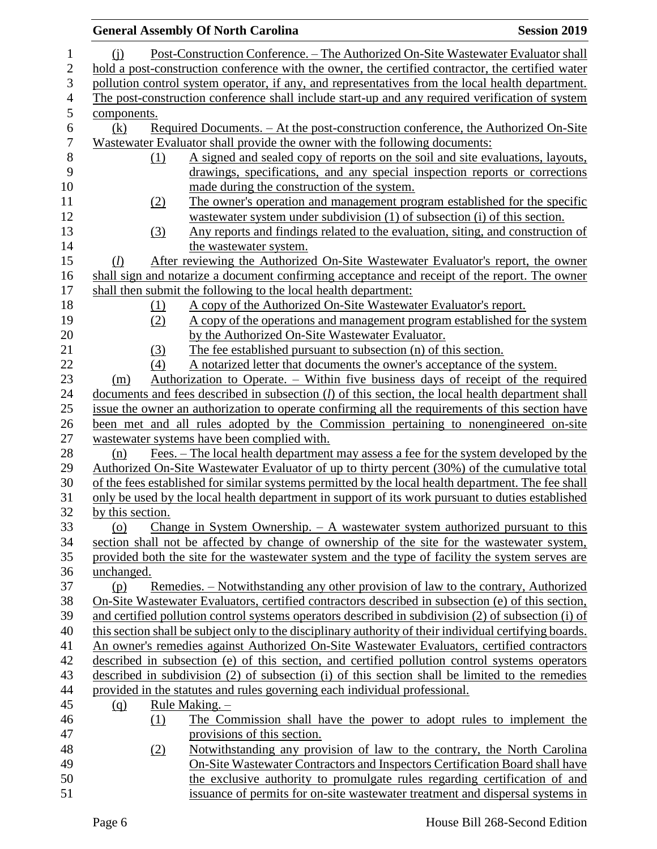|                  | <b>General Assembly Of North Carolina</b>                                  | <b>Session 2019</b>                                                                                                                                                                                  |
|------------------|----------------------------------------------------------------------------|------------------------------------------------------------------------------------------------------------------------------------------------------------------------------------------------------|
| $\mathbf{1}$     | (i)                                                                        | Post-Construction Conference. - The Authorized On-Site Wastewater Evaluator shall                                                                                                                    |
| $\mathbf{2}$     |                                                                            | hold a post-construction conference with the owner, the certified contractor, the certified water                                                                                                    |
| 3                |                                                                            | pollution control system operator, if any, and representatives from the local health department.                                                                                                     |
| 4                |                                                                            | The post-construction conference shall include start-up and any required verification of system                                                                                                      |
| 5                | components.                                                                |                                                                                                                                                                                                      |
| 6                | (k)                                                                        | Required Documents. - At the post-construction conference, the Authorized On-Site                                                                                                                    |
| $\boldsymbol{7}$ | Wastewater Evaluator shall provide the owner with the following documents: |                                                                                                                                                                                                      |
| $\,8\,$          | (1)                                                                        | A signed and sealed copy of reports on the soil and site evaluations, layouts,                                                                                                                       |
| 9                |                                                                            | drawings, specifications, and any special inspection reports or corrections                                                                                                                          |
| 10               | made during the construction of the system.                                |                                                                                                                                                                                                      |
| 11               | (2)                                                                        | The owner's operation and management program established for the specific                                                                                                                            |
| 12               |                                                                            | wastewater system under subdivision (1) of subsection (i) of this section.                                                                                                                           |
| 13               | (3)                                                                        | Any reports and findings related to the evaluation, siting, and construction of                                                                                                                      |
| 14               | the wastewater system.                                                     |                                                                                                                                                                                                      |
| 15               | (l)                                                                        | After reviewing the Authorized On-Site Wastewater Evaluator's report, the owner                                                                                                                      |
| 16               |                                                                            | shall sign and notarize a document confirming acceptance and receipt of the report. The owner                                                                                                        |
| 17               | shall then submit the following to the local health department:            |                                                                                                                                                                                                      |
| 18               | (1)                                                                        | A copy of the Authorized On-Site Wastewater Evaluator's report.                                                                                                                                      |
| 19               | (2)                                                                        | <u>A copy of the operations and management program established for the system</u>                                                                                                                    |
| 20               | by the Authorized On-Site Wastewater Evaluator.                            |                                                                                                                                                                                                      |
| 21               | (3)                                                                        | The fee established pursuant to subsection (n) of this section.                                                                                                                                      |
| 22               | (4)                                                                        | A notarized letter that documents the owner's acceptance of the system.                                                                                                                              |
| 23               | (m)                                                                        | Authorization to Operate. – Within five business days of receipt of the required                                                                                                                     |
| 24               |                                                                            | documents and fees described in subsection $(l)$ of this section, the local health department shall                                                                                                  |
| 25               |                                                                            | issue the owner an authorization to operate confirming all the requirements of this section have                                                                                                     |
| 26               |                                                                            | been met and all rules adopted by the Commission pertaining to nonengineered on-site                                                                                                                 |
| 27               | wastewater systems have been complied with.                                |                                                                                                                                                                                                      |
| 28               | (n)                                                                        | Fees. – The local health department may assess a fee for the system developed by the                                                                                                                 |
| 29<br>30         |                                                                            | Authorized On-Site Wastewater Evaluator of up to thirty percent (30%) of the cumulative total<br>of the fees established for similar systems permitted by the local health department. The fee shall |
| 31               |                                                                            | only be used by the local health department in support of its work pursuant to duties established                                                                                                    |
| 32               | by this section.                                                           |                                                                                                                                                                                                      |
| 33               | (o)                                                                        | <u>Change in System Ownership. <math>- A</math> wastewater system authorized pursuant to this</u>                                                                                                    |
| 34               |                                                                            | section shall not be affected by change of ownership of the site for the wastewater system,                                                                                                          |
| 35               |                                                                            | provided both the site for the wastewater system and the type of facility the system serves are                                                                                                      |
| 36               | unchanged.                                                                 |                                                                                                                                                                                                      |
| 37               | (p)                                                                        | Remedies. – Notwithstanding any other provision of law to the contrary, Authorized                                                                                                                   |
| 38               |                                                                            | On-Site Wastewater Evaluators, certified contractors described in subsection (e) of this section,                                                                                                    |
| 39               |                                                                            | and certified pollution control systems operators described in subdivision (2) of subsection (i) of                                                                                                  |
| 40               |                                                                            | this section shall be subject only to the disciplinary authority of their individual certifying boards.                                                                                              |
| 41               |                                                                            | An owner's remedies against Authorized On-Site Wastewater Evaluators, certified contractors                                                                                                          |
| 42               |                                                                            | described in subsection (e) of this section, and certified pollution control systems operators                                                                                                       |
| 43               |                                                                            | described in subdivision (2) of subsection (i) of this section shall be limited to the remedies                                                                                                      |
| 44               | provided in the statutes and rules governing each individual professional. |                                                                                                                                                                                                      |
| 45               | Rule Making. -<br>$\Omega$                                                 |                                                                                                                                                                                                      |
| 46               | (1)                                                                        | The Commission shall have the power to adopt rules to implement the                                                                                                                                  |
| 47               | provisions of this section.                                                |                                                                                                                                                                                                      |
| 48               | (2)                                                                        | Notwithstanding any provision of law to the contrary, the North Carolina                                                                                                                             |
| 49               |                                                                            | On-Site Wastewater Contractors and Inspectors Certification Board shall have                                                                                                                         |
| 50               |                                                                            | the exclusive authority to promulgate rules regarding certification of and<br>issuance of permits for on-site wastewater treatment and dispersal systems in                                          |
| 51               |                                                                            |                                                                                                                                                                                                      |